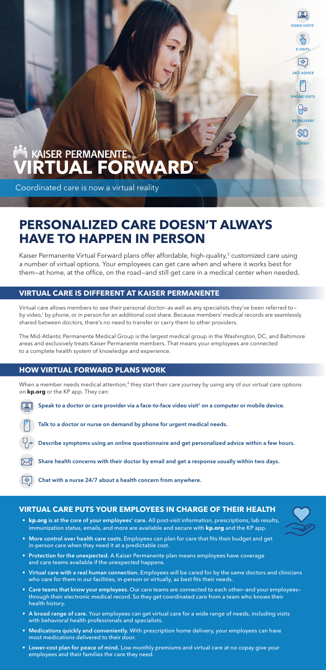24/7 ADVICE

**VIDEO VISITS<sup>1</sup>** 

**E-VISIT** 

| ÷

RX DELIVERY

 $\boxplus \oslash$ 

PHONE VISITS

COPAY<sup>2</sup>

SS(O)

# **WE KAISER PERMANENTE.<br>VIRTUAL FORWARD**

Coordinated care is now a virtual reality

## **PERSONALIZED CARE DOESN'T ALWAYS HAVE TO HAPPEN IN PERSON**

Kaiser Permanente Virtual Forward plans offer affordable, high-quality,<sup>3</sup> customized care using a number of virtual options. Your employees can get care when and where it works best for them—at home, at the office, on the road—and still get care in a medical center when needed.

## **VIRTUAL CARE IS DIFFERENT AT KAISER PERMANENTE**

When a member needs medical attention,<sup>4</sup> they start their care journey by using any of our virtual care options on **kp.org** or the KP app. They can:

Speak to a doctor or care provider via a face-to-face video visit<sup>1</sup> on a computer or mobile device.



Virtual care allows members to see their personal doctor—as well as any specialists they've been referred to by video,<sup>1</sup> by phone, or in person for an additional cost share. Because members' medical records are seamlessly shared between doctors, there's no need to transfer or carry them to other providers.

The Mid-Atlantic Permanente Medical Group is the largest medical group in the Washington, DC, and Baltimore areas and exclusively treats Kaiser Permanente members. That means your employees are connected to a complete health system of knowledge and experience.

## **HOW VIRTUAL FORWARD PLANS WORK**

Talk to a doctor or nurse on demand by phone for urgent medical needs.

Describe symptoms using an online questionnaire and get personalized advice within a few hours.

Share health concerns with their doctor by email and get a response usually within two days.



Chat with a nurse 24/7 about a health concern from anywhere.

### **VIRTUAL CARE PUTS YOUR EMPLOYEES IN CHARGE OF THEIR HEALTH**

- **• kp.org** is at the core of your employees' care. All post-visit information, prescriptions, lab results, immunization status, emails, and more are available and secure with **kp.org** and the KP app.
- More control over health care costs. Employees can plan for care that fits their budget and get in-person care when they need it at a predictable cost.
- Protection for the unexpected. A Kaiser Permanente plan means employees have coverage and care teams available if the unexpected happens.
- Virtual care with a real human connection. Employees will be cared for by the same doctors and clinicians who care for them in our facilities, in-person or virtually, as best fits their needs.
- Care teams that know your employees. Our care teams are connected to each other—and your employees through their electronic medical record. So they get coordinated care from a team who knows their health history.
- A broad range of care. Your employees can get virtual care for a wide range of needs, including visits with behavioral health professionals and specialists.
- Medications quickly and conveniently. With prescription home delivery, your employees can have most medications delivered to their door.
- Lower-cost plan for peace of mind. Low monthly premiums and virtual care at no copay give your employees and their families the care they need.